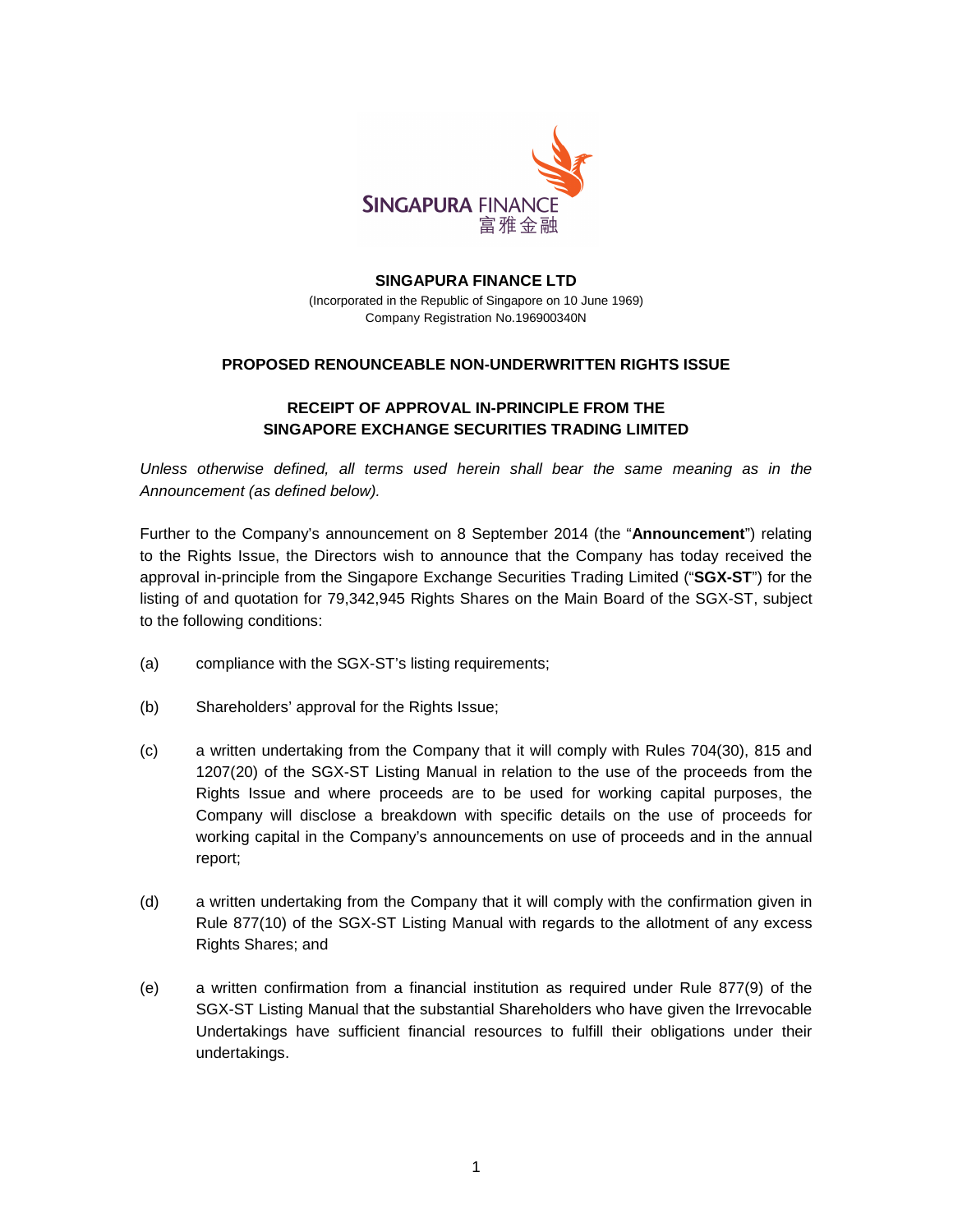

## **SINGAPURA FINANCE LTD**  (Incorporated in the Republic of Singapore on 10 June 1969) Company Registration No.196900340N

## **PROPOSED RENOUNCEABLE NON-UNDERWRITTEN RIGHTS ISSUE**

## **RECEIPT OF APPROVAL IN-PRINCIPLE FROM THE SINGAPORE EXCHANGE SECURITIES TRADING LIMITED**

Unless otherwise defined, all terms used herein shall bear the same meaning as in the Announcement (as defined below).

Further to the Company's announcement on 8 September 2014 (the "**Announcement**") relating to the Rights Issue, the Directors wish to announce that the Company has today received the approval in-principle from the Singapore Exchange Securities Trading Limited ("**SGX-ST**") for the listing of and quotation for 79,342,945 Rights Shares on the Main Board of the SGX-ST, subject to the following conditions:

- (a) compliance with the SGX-ST's listing requirements;
- (b) Shareholders' approval for the Rights Issue;
- (c) a written undertaking from the Company that it will comply with Rules 704(30), 815 and 1207(20) of the SGX-ST Listing Manual in relation to the use of the proceeds from the Rights Issue and where proceeds are to be used for working capital purposes, the Company will disclose a breakdown with specific details on the use of proceeds for working capital in the Company's announcements on use of proceeds and in the annual report;
- (d) a written undertaking from the Company that it will comply with the confirmation given in Rule 877(10) of the SGX-ST Listing Manual with regards to the allotment of any excess Rights Shares; and
- (e) a written confirmation from a financial institution as required under Rule 877(9) of the SGX-ST Listing Manual that the substantial Shareholders who have given the Irrevocable Undertakings have sufficient financial resources to fulfill their obligations under their undertakings.